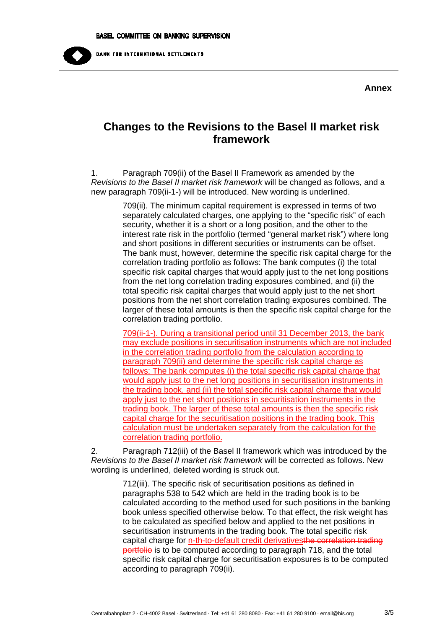

## **Annex**

## **Changes to the Revisions to the Basel II market risk framework**

1. Paragraph 709(ii) of the Basel II Framework as amended by the *Revisions to the Basel II market risk framework* will be changed as follows, and a new paragraph 709(ii-1-) will be introduced. New wording is underlined.

> 709(ii). The minimum capital requirement is expressed in terms of two separately calculated charges, one applying to the "specific risk" of each security, whether it is a short or a long position, and the other to the interest rate risk in the portfolio (termed "general market risk") where long and short positions in different securities or instruments can be offset. The bank must, however, determine the specific risk capital charge for the correlation trading portfolio as follows: The bank computes (i) the total specific risk capital charges that would apply just to the net long positions from the net long correlation trading exposures combined, and (ii) the total specific risk capital charges that would apply just to the net short positions from the net short correlation trading exposures combined. The larger of these total amounts is then the specific risk capital charge for the correlation trading portfolio.

> 709(ii-1-). During a transitional period until 31 December 2013, the bank may exclude positions in securitisation instruments which are not included in the correlation trading portfolio from the calculation according to paragraph 709(ii) and determine the specific risk capital charge as follows: The bank computes (i) the total specific risk capital charge that would apply just to the net long positions in securitisation instruments in the trading book, and (ii) the total specific risk capital charge that would apply just to the net short positions in securitisation instruments in the trading book. The larger of these total amounts is then the specific risk capital charge for the securitisation positions in the trading book. This calculation must be undertaken separately from the calculation for the correlation trading portfolio.

2. Paragraph 712(iii) of the Basel II framework which was introduced by the *Revisions to the Basel II market risk framework* will be corrected as follows. New wording is underlined, deleted wording is struck out.

> 712(iii). The specific risk of securitisation positions as defined in paragraphs 538 to 542 which are held in the trading book is to be calculated according to the method used for such positions in the banking book unless specified otherwise below. To that effect, the risk weight has to be calculated as specified below and applied to the net positions in securitisation instruments in the trading book. The total specific risk capital charge for n-th-to-default credit derivativesthe correlation trading portfolio is to be computed according to paragraph 718, and the total specific risk capital charge for securitisation exposures is to be computed according to paragraph 709(ii).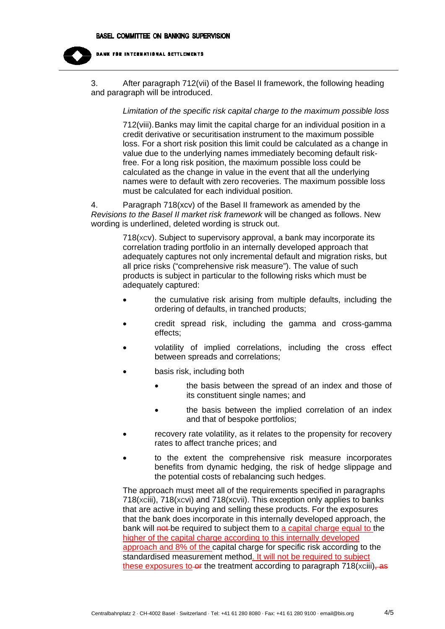

**BANK FOR INTERNATIONAL SETTLEMENTS** 

3. After paragraph 712(vii) of the Basel II framework, the following heading and paragraph will be introduced.

## *Limitation of the specific risk capital charge to the maximum possible loss*

712(viii). Banks may limit the capital charge for an individual position in a credit derivative or securitisation instrument to the maximum possible loss. For a short risk position this limit could be calculated as a change in value due to the underlying names immediately becoming default riskfree. For a long risk position, the maximum possible loss could be calculated as the change in value in the event that all the underlying names were to default with zero recoveries. The maximum possible loss must be calculated for each individual position.

4. Paragraph 718(xcv) of the Basel II framework as amended by the *Revisions to the Basel II market risk framework* will be changed as follows. New wording is underlined, deleted wording is struck out.

> 718(xcv). Subject to supervisory approval, a bank may incorporate its correlation trading portfolio in an internally developed approach that adequately captures not only incremental default and migration risks, but all price risks ("comprehensive risk measure"). The value of such products is subject in particular to the following risks which must be adequately captured:

- the cumulative risk arising from multiple defaults, including the ordering of defaults, in tranched products;
- credit spread risk, including the gamma and cross-gamma effects;
- volatility of implied correlations, including the cross effect between spreads and correlations;
- basis risk, including both
	- **the basis between the spread of an index and those of** its constituent single names; and
	- the basis between the implied correlation of an index and that of bespoke portfolios;
- recovery rate volatility, as it relates to the propensity for recovery rates to affect tranche prices; and
- to the extent the comprehensive risk measure incorporates benefits from dynamic hedging, the risk of hedge slippage and the potential costs of rebalancing such hedges.

The approach must meet all of the requirements specified in paragraphs  $718(xciii)$ ,  $718(xcvi)$  and  $718(xcvii)$ . This exception only applies to banks that are active in buying and selling these products. For the exposures that the bank does incorporate in this internally developed approach, the bank will not be required to subject them to a capital charge equal to the higher of the capital charge according to this internally developed approach and 8% of the capital charge for specific risk according to the standardised measurement method. It will not be required to subject these exposures to or the treatment according to paragraph  $718(xciii)$ , as